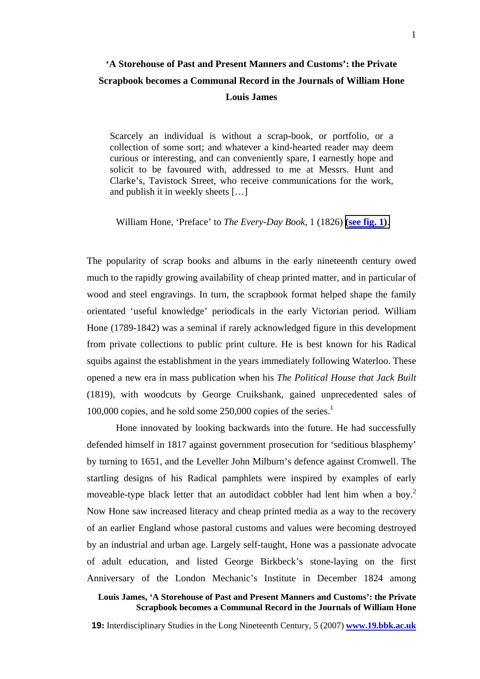Scarcely an individual is without a scrap-book, or portfolio, or a collection of some sort; and whatever a kind-hearted reader may deem curious or interesting, and can conveniently spare, I earnestly hope and solicit to be favoured with, addressed to me at Messrs. Hunt and Clarke's, Tavistock Street, who receive communications for the work, and publish it in weekly sheets […]

William Hone, 'Preface' to *The Every-Day Book*, 1 (1826) **[\(](http://www.19.bbk.ac.uk/public/journals/3/no5_James_fig1_full.jpg)see fig. 1[\)](http://www.19.bbk.ac.uk/public/journals/3/no5_James_fig1_full.jpg)**.

The popularity of scrap books and albums in the early nineteenth century owed much to the rapidly growing availability of cheap printed matter, and in particular of wood and steel engravings. In turn, the scrapbook format helped shape the family orientated 'useful knowledge' periodicals in the early Victorian period. William Hone (1789-1842) was a seminal if rarely acknowledged figure in this development from private collections to public print culture. He is best known for his Radical squibs against the establishment in the years immediately following Waterloo. These opened a new era in mass publication when his *The Political House that Jack Built* (1819), with woodcuts by George Cruikshank, gained unprecedented sales of [1](#page-5-0)00,000 copies, and he sold some 250,000 copies of the series.<sup>1</sup>

Hone innovated by looking backwards into the future. He had successfully defended himself in 1817 against government prosecution for 'seditious blasphemy' by turning to 1651, and the Leveller John Milburn's defence against Cromwell. The startling designs of his Radical pamphlets were inspired by examples of early moveable-type black letter that an autodidact cobbler had lent him when a boy.<sup>[2](#page-5-1)</sup> Now Hone saw increased literacy and cheap printed media as a way to the recovery of an earlier England whose pastoral customs and values were becoming destroyed by an industrial and urban age. Largely self-taught, Hone was a passionate advocate of adult education, and listed George Birkbeck's stone-laying on the first Anniversary of the London Mechanic's Institute in December 1824 among

## **Louis James, 'A Storehouse of Past and Present Manners and Customs': the Private Scrapbook becomes a Communal Record in the Journals of William Hone**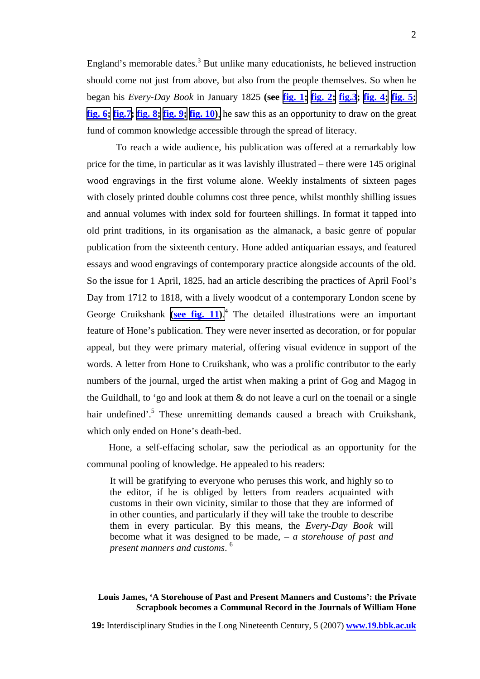England's memorable dates.<sup>[3](#page-5-2)</sup> But unlike many educationists, he believed instruction should come not just from above, but also from the people themselves. So when he began his *Every-Day Book* in January 1825 **(see fig. [1;](http://www.19.bbk.ac.uk/public/journals/3/no5_James_fig1_full.jpg) fig. 2[;](http://www.19.bbk.ac.uk/public/journals/3/no5_James_fig2_full.jpg) fig.3; fig. [4;](http://www.19.bbk.ac.uk/public/journals/3/no5_James_fig4_full.jpg) fig. 5[;](http://www.19.bbk.ac.uk/public/journals/3/no5_James_fig5_full.jpg)  fig. [6;](http://www.19.bbk.ac.uk/public/journals/3/no5_James_fig6_full.jpg) fig.7; fig. [8;](http://www.19.bbk.ac.uk/public/journals/3/no5_James_fig8_full.jpg) fig. 9[;](http://www.19.bbk.ac.uk/public/journals/3/no5_James_fig9_full.jpg) fig. 1[0\)](http://www.19.bbk.ac.uk/public/journals/3/no5_James_fig10_full.jpg)**, he saw this as an opportunity to draw on the great fund of common knowledge accessible through the spread of literacy.

To reach a wide audience, his publication was offered at a remarkably low price for the time, in particular as it was lavishly illustrated – there were 145 original wood engravings in the first volume alone. Weekly instalments of sixteen pages with closely printed double columns cost three pence, whilst monthly shilling issues and annual volumes with index sold for fourteen shillings. In format it tapped into old print traditions, in its organisation as the almanack, a basic genre of popular publication from the sixteenth century. Hone added antiquarian essays, and featured essays and wood engravings of contemporary practice alongside accounts of the old. So the issue for 1 April, 1825, had an article describing the practices of April Fool's Day from 1712 to 1818, with a lively woodcut of a contemporary London scene by George Cruikshank **[\(](http://www.19.bbk.ac.uk/public/journals/3/no5_James_fig11_full.jpg)see fig. 11[\)](http://www.19.bbk.ac.uk/public/journals/3/no5_James_fig11_full.jpg)**. 4 The detailed illustrations were an important feature of Hone's publication. They were never inserted as decoration, or for popular appeal, but they were primary material, offering visual evidence in support of the words. A letter from Hone to Cruikshank, who was a prolific contributor to the early numbers of the journal, urged the artist when making a print of Gog and Magog in the Guildhall, to 'go and look at them & do not leave a curl on the toenail or a single hair undefined'.<sup>[5](#page-5-4)</sup> These unremitting demands caused a breach with Cruikshank, which only ended on Hone's death-bed.

Hone, a self-effacing scholar, saw the periodical as an opportunity for the communal pooling of knowledge. He appealed to his readers:

It will be gratifying to everyone who peruses this work, and highly so to the editor, if he is obliged by letters from readers acquainted with customs in their own vicinity, similar to those that they are informed of in other counties, and particularly if they will take the trouble to describe them in every particular. By this means, the *Every-Day Book* will become what it was designed to be made, – *a storehouse of past and present manners and customs*. [6](#page-5-5)

## **Louis James, 'A Storehouse of Past and Present Manners and Customs': the Private Scrapbook becomes a Communal Record in the Journals of William Hone**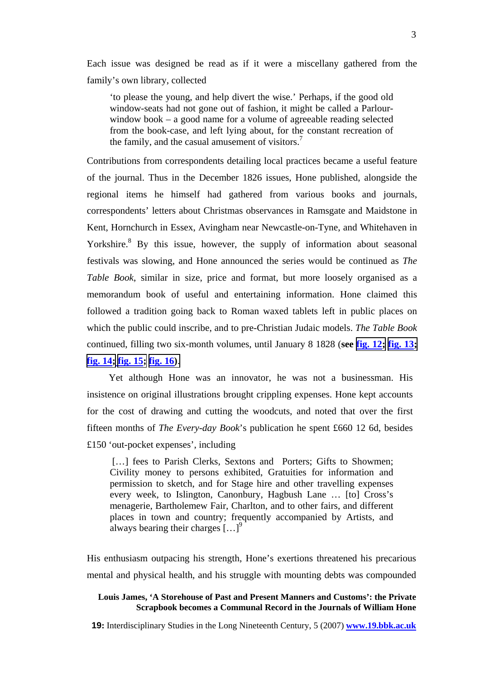Each issue was designed be read as if it were a miscellany gathered from the family's own library, collected

'to please the young, and help divert the wise.' Perhaps, if the good old window-seats had not gone out of fashion, it might be called a Parlourwindow book – a good name for a volume of agreeable reading selected from the book-case, and left lying about, for the constant recreation of the family, and the casual amusement of visitors.<sup>7</sup>

Contributions from correspondents detailing local practices became a useful feature of the journal. Thus in the December 1826 issues, Hone published, alongside the regional items he himself had gathered from various books and journals, correspondents' letters about Christmas observances in Ramsgate and Maidstone in Kent, Hornchurch in Essex, Avingham near Newcastle-on-Tyne, and Whitehaven in Yorkshire.<sup>8</sup>By this issue, however, the supply of information about seasonal festivals was slowing, and Hone announced the series would be continued as *The Table Book*, similar in size, price and format, but more loosely organised as a memorandum book of useful and entertaining information. Hone claimed this followed a tradition going back to Roman waxed tablets left in public places on which the public could inscribe, and to pre-Christian Judaic models. *The Table Book* continued, filling two six-month volumes, until January 8 1828 (**see fig. 12[;](http://www.19.bbk.ac.uk/public/journals/3/no5_James_fig12_full.jpg) fig. 1[3;](http://www.19.bbk.ac.uk/public/journals/3/no5_James_fig13_full.jpg) fig. 1[4;](http://www.19.bbk.ac.uk/public/journals/3/no5_James_fig14_full.jpg) fig. 15[;](http://www.19.bbk.ac.uk/public/journals/3/no5_James_fig15_full.jpg) fig. 16[\)](http://www.19.bbk.ac.uk/public/journals/3/no5_James_fig16_full.jpg)**.

Yet although Hone was an innovator, he was not a businessman. His insistence on original illustrations brought crippling expenses. Hone kept accounts for the cost of drawing and cutting the woodcuts, and noted that over the first fifteen months of *The Every-day Book*'s publication he spent £660 12 6d, besides £150 'out-pocket expenses', including

[...] fees to Parish Clerks, Sextons and Porters; Gifts to Showmen; Civility money to persons exhibited, Gratuities for information and permission to sketch, and for Stage hire and other travelling expenses every week, to Islington, Canonbury, Hagbush Lane … [to] Cross's menagerie, Bartholemew Fair, Charlton, and to other fairs, and different places in town and country; frequently accompanied by Artists, and always bearing their charges  $\left[ \ldots \right]^9$ 

His enthusiasm outpacing his strength, Hone's exertions threatened his precarious mental and physical health, and his struggle with mounting debts was compounded

### **Louis James, 'A Storehouse of Past and Present Manners and Customs': the Private Scrapbook becomes a Communal Record in the Journals of William Hone**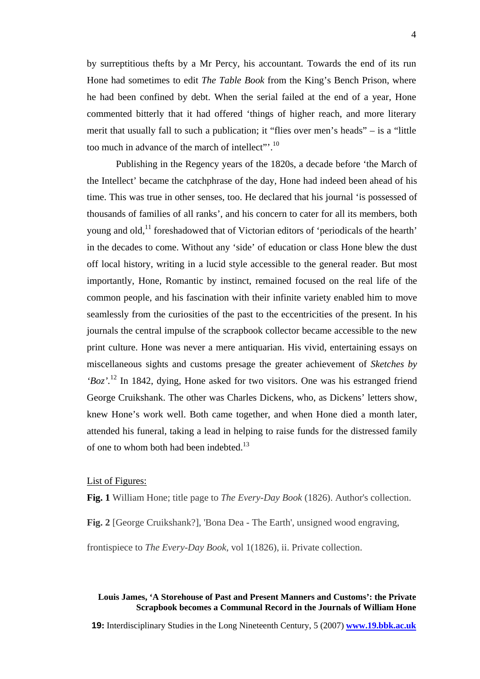by surreptitious thefts by a Mr Percy, his accountant. Towards the end of its run Hone had sometimes to edit *The Table Book* from the King's Bench Prison, where he had been confined by debt. When the serial failed at the end of a year, Hone commented bitterly that it had offered 'things of higher reach, and more literary merit that usually fall to such a publication; it "flies over men's heads" – is a "little too much in advance of the march of intellect"'.<sup>10</sup>

Publishing in the Regency years of the 1820s, a decade before 'the March of the Intellect' became the catchphrase of the day, Hone had indeed been ahead of his time. This was true in other senses, too. He declared that his journal 'is possessed of thousands of families of all ranks', and his concern to cater for all its members, both young and old,<sup>11</sup> foreshadowed that of Victorian editors of 'periodicals of the hearth' in the decades to come. Without any 'side' of education or class Hone blew the dust off local history, writing in a lucid style accessible to the general reader. But most importantly, Hone, Romantic by instinct, remained focused on the real life of the common people, and his fascination with their infinite variety enabled him to move seamlessly from the curiosities of the past to the eccentricities of the present. In his journals the central impulse of the scrapbook collector became accessible to the new print culture. Hone was never a mere antiquarian. His vivid, entertaining essays on miscellaneous sights and customs presage the greater achievement of *Sketches by 'Boz'.*[12](#page-5-11) In 1842, dying, Hone asked for two visitors. One was his estranged friend George Cruikshank. The other was Charles Dickens, who, as Dickens' letters show, knew Hone's work well. Both came together, and when Hone died a month later, attended his funeral, taking a lead in helping to raise funds for the distressed family of one to whom both had been indebted.<sup>13</sup>

## List of Figures:

**Fig. 1** William Hone; title page to *The Every-Day Book* (1826). Author's collection.

**Fig. 2** [George Cruikshank?], 'Bona Dea - The Earth', unsigned wood engraving,

frontispiece to *The Every-Day Book*, vol 1(1826), ii. Private collection.

# **Louis James, 'A Storehouse of Past and Present Manners and Customs': the Private Scrapbook becomes a Communal Record in the Journals of William Hone**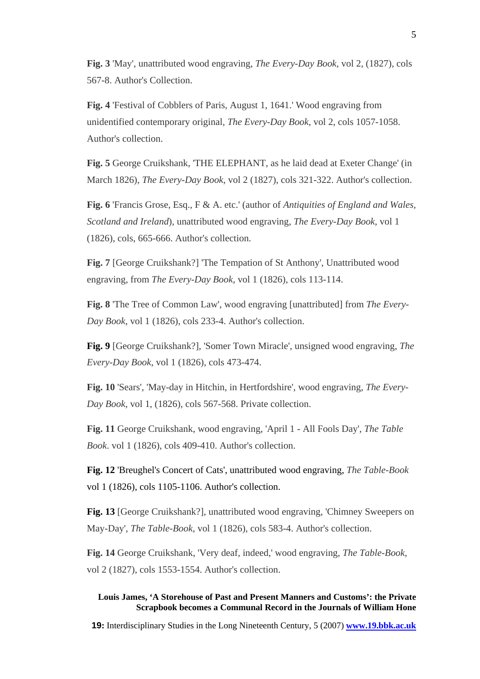**Fig. 3** 'May', unattributed wood engraving, *The Every-Day Book,* vol 2, (1827), cols 567-8. Author's Collection.

**Fig. 4** 'Festival of Cobblers of Paris, August 1, 1641.' Wood engraving from unidentified contemporary original, *The Every-Day Book*, vol 2, cols 1057-1058. Author's collection.

**Fig. 5** George Cruikshank, 'THE ELEPHANT, as he laid dead at Exeter Change' (in March 1826), *The Every-Day Book*, vol 2 (1827), cols 321-322. Author's collection.

**Fig. 6** 'Francis Grose, Esq., F & A. etc.' (author of *Antiquities of England and Wales, Scotland and Ireland*), unattributed wood engraving, *The Every-Day Book*, vol 1 (1826), cols, 665-666. Author's collection.

**Fig. 7** [George Cruikshank?] 'The Tempation of St Anthony', Unattributed wood engraving, from *The Every-Day Book*, vol 1 (1826), cols 113-114.

**Fig. 8** 'The Tree of Common Law', wood engraving [unattributed] from *The Every-Day Book,* vol 1 (1826), cols 233-4. Author's collection.

**Fig. 9** [George Cruikshank?], 'Somer Town Miracle', unsigned wood engraving, *The Every-Day Book*, vol 1 (1826), cols 473-474.

**Fig. 10** 'Sears', 'May-day in Hitchin, in Hertfordshire', wood engraving, *The Every-Day Book*, vol 1, (1826), cols 567-568. Private collection.

**Fig. 11** George Cruikshank, wood engraving, 'April 1 - All Fools Day', *The Table Book*. vol 1 (1826), cols 409-410. Author's collection.

**Fig. 12** 'Breughel's Concert of Cats', unattributed wood engraving, *The Table-Book*  vol 1 (1826), cols 1105-1106. Author's collection.

**Fig. 13** [George Cruikshank?], unattributed wood engraving, 'Chimney Sweepers on May-Day', *The Table-Book*, vol 1 (1826), cols 583-4. Author's collection.

**Fig. 14** George Cruikshank, 'Very deaf, indeed,' wood engraving, *The Table-Book*, vol 2 (1827), cols 1553-1554. Author's collection.

## **Louis James, 'A Storehouse of Past and Present Manners and Customs': the Private Scrapbook becomes a Communal Record in the Journals of William Hone**